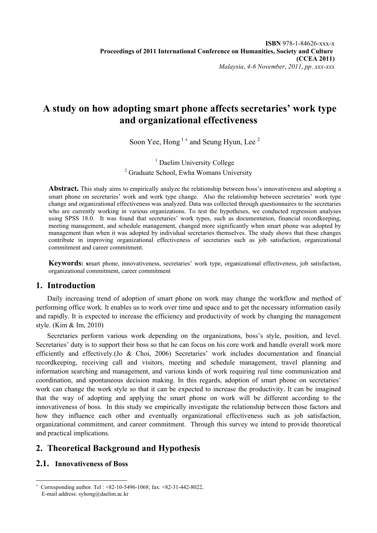# **A study on how adopting smart phone affects secretaries' work type and organizational effectiveness**

Soon Yee, Hong  $1+$  and Seung Hyun, Lee  $2$ 

<sup>1</sup> Daelim University College <sup>2</sup> Graduate School, Ewha Womans University

**Abstract.** This study aims to empirically analyze the relationship between boss's innovativeness and adopting a smart phone on secretaries' work and work type change. Also the relationship between secretaries' work type change and organizational effectiveness was analyzed. Data was collected through questionnaires to the secretaries who are currently working in various organizations. To test the hypotheses, we conducted regression analyses using SPSS 18.0. It was found that secretaries' work types, such as documentation, financial recordkeeping, meeting management, and schedule management, changed more significantly when smart phone was adopted by management than when it was adopted by individual secretaries themselves. The study shows that these changes contribute in improving organizational effectiveness of secretaries such as job satisfaction, organizational commitment and career commitment.

**Keywords: s**mart phone, innovativeness, secretaries' work type, organizational effectiveness, job satisfaction, organizational commitment, career commitment

## **1. Introduction**

Daily increasing trend of adoption of smart phone on work may change the workflow and method of performing office work. It enables us to work over time and space and to get the necessary information easily and rapidly. It is expected to increase the efficiency and productivity of work by changing the management style. (Kim & Im, 2010)

Secretaries perform various work depending on the organizations, boss's style, position, and level. Secretaries' duty is to support their boss so that he can focus on his core work and handle overall work more efficiently and effectively.(Jo & Choi, 2006) Secretaries' work includes documentation and financial recordkeeping, receiving call and visitors, meeting and schedule management, travel planning and information searching and management, and various kinds of work requiring real time communication and coordination, and spontaneous decision making. In this regards, adoption of smart phone on secretaries' work can change the work style so that it can be expected to increase the productivity. It can be imagined that the way of adopting and applying the smart phone on work will be different according to the innovativeness of boss. In this study we empirically investigate the relationship between those factors and how they influence each other and eventually organizational effectiveness such as job satisfaction, organizational commitment, and career commitment. Through this survey we intend to provide theoretical and practical implications.

# **2. Theoretical Background and Hypothesis**

# **2.1. Innovativeness of Boss**

 $\overline{\phantom{a}}$ + Corresponding author. Tel : +82-10-5496-1068; fax: +82-31-442-8022, E-mail address: syhong@daelim.ac.kr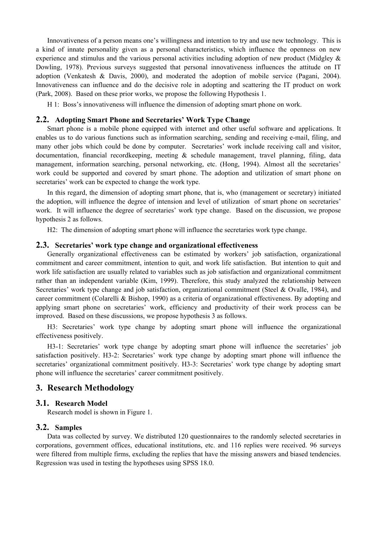Innovativeness of a person means one's willingness and intention to try and use new technology. This is a kind of innate personality given as a personal characteristics, which influence the openness on new experience and stimulus and the various personal activities including adoption of new product (Midgley & Dowling, 1978). Previous surveys suggested that personal innovativeness influences the attitude on IT adoption (Venkatesh & Davis, 2000), and moderated the adoption of mobile service (Pagani, 2004). Innovativeness can influence and do the decisive role in adopting and scattering the IT product on work (Park, 2008). Based on these prior works, we propose the following Hypothesis 1.

H 1: Boss's innovativeness will influence the dimension of adopting smart phone on work.

#### **2.2. Adopting Smart Phone and Secretaries' Work Type Change**

Smart phone is a mobile phone equipped with internet and other useful software and applications. It enables us to do various functions such as information searching, sending and receiving e-mail, filing, and many other jobs which could be done by computer. Secretaries' work include receiving call and visitor, documentation, financial recordkeeping, meeting & schedule management, travel planning, filing, data management, information searching, personal networking, etc. (Hong, 1994). Almost all the secretaries' work could be supported and covered by smart phone. The adoption and utilization of smart phone on secretaries' work can be expected to change the work type.

In this regard, the dimension of adopting smart phone, that is, who (management or secretary) initiated the adoption, will influence the degree of intension and level of utilization of smart phone on secretaries' work. It will influence the degree of secretaries' work type change. Based on the discussion, we propose hypothesis 2 as follows.

H2: The dimension of adopting smart phone will influence the secretaries work type change.

#### **2.3. Secretaries' work type change and organizational effectiveness**

Generally organizational effectiveness can be estimated by workers' job satisfaction, organizational commitment and career commitment, intention to quit, and work life satisfaction. But intention to quit and work life satisfaction are usually related to variables such as job satisfaction and organizational commitment rather than an independent variable (Kim, 1999). Therefore, this study analyzed the relationship between Secretaries' work type change and job satisfaction, organizational commitment (Steel & Ovalle, 1984), and career commitment (Colarelli & Bishop, 1990) as a criteria of organizational effectiveness. By adopting and applying smart phone on secretaries' work, efficiency and productivity of their work process can be improved. Based on these discussions, we propose hypothesis 3 as follows.

H3: Secretaries' work type change by adopting smart phone will influence the organizational effectiveness positively.

H3-1: Secretaries' work type change by adopting smart phone will influence the secretaries' job satisfaction positively. H3-2: Secretaries' work type change by adopting smart phone will influence the secretaries' organizational commitment positively. H3-3: Secretaries' work type change by adopting smart phone will influence the secretaries' career commitment positively.

#### **3. Research Methodology**

#### **3.1. Research Model**

Research model is shown in Figure 1.

#### **3.2. Samples**

Data was collected by survey. We distributed 120 questionnaires to the randomly selected secretaries in corporations, government offices, educational institutions, etc. and 116 replies were received. 96 surveys were filtered from multiple firms, excluding the replies that have the missing answers and biased tendencies. Regression was used in testing the hypotheses using SPSS 18.0.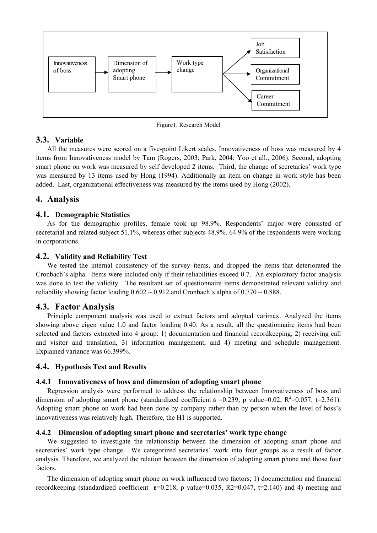

Figure1. Research Model

## **3.3. Variable**

All the measures were scored on a five-point Likert scales. Innovativeness of boss was measured by 4 items from Innovativeness model by Tam (Rogers, 2003; Park, 2004; Yoo et all., 2006). Second, adopting smart phone on work was measured by self developed 2 items. Third, the change of secretaries' work type was measured by 13 items used by Hong (1994). Additionally an item on change in work style has been added. Last, organizational effectiveness was measured by the items used by Hong (2002).

## **4. Analysis**

### **4.1. Demographic Statistics**

As for the demographic profiles, female took up 98.9%. Respondents' major were consisted of secretarial and related subject 51.1%, whereas other subjects 48.9%. 64.9% of the respondents were working in corporations.

### **4.2. Validity and Reliability Test**

We tested the internal consistency of the survey items, and dropped the items that deteriorated the Cronbach's alpha. Items were included only if their reliabilities exceed 0.7. An exploratory factor analysis was done to test the validity. The resultant set of questionnaire items demonstrated relevant validity and reliability showing factor loading  $0.602 \sim 0.912$  and Cronbach's alpha of  $0.770 \sim 0.888$ .

## **4.3. Factor Analysis**

Principle component analysis was used to extract factors and adopted varimax. Analyzed the items showing above eigen value 1.0 and factor loading 0.40. As a result, all the questionnaire items had been selected and factors extracted into 4 group: 1) documentation and financial recordkeeping, 2) receiving call and visitor and translation, 3) information management, and 4) meeting and schedule management. Explained variance was 66.399%.

## **4.4. Hypothesis Test and Results**

#### **4.4.1 Innovativeness of boss and dimension of adopting smart phone**

Regression analysis were performed to address the relationship between Innovativeness of boss and dimension of adopting smart phone (standardized coefficient  $\beta$  =0.239, p value=0.02, R<sup>2</sup>=0.057, t=2.361). Adopting smart phone on work had been done by company rather than by person when the level of boss's innovativeness was relatively high. Therefore, the H1 is supported.

#### **4.4.2 Dimension of adopting smart phone and secretaries' work type change**

We suggested to investigate the relationship between the dimension of adopting smart phone and secretaries' work type change. We categorized secretaries' work into four groups as a result of factor analysis. Therefore, we analyzed the relation between the dimension of adopting smart phone and those four factors.

The dimension of adopting smart phone on work influenced two factors; 1) documentation and financial recordkeeping (standardized coefficient **ß**=0.218, p value=0.035, R2=0.047, t=2.140) and 4) meeting and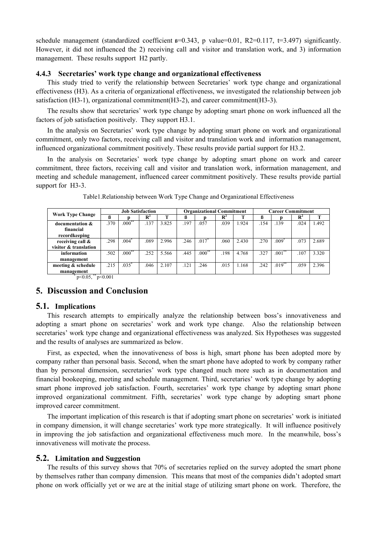schedule management (standardized coefficient  $s=0.343$ , p value=0.01, R2=0.117, t=3.497) significantly. However, it did not influenced the 2) receiving call and visitor and translation work, and 3) information management. These results support H2 partly.

#### **4.4.3 Secretaries' work type change and organizational effectiveness**

This study tried to verify the relationship between Secretaries' work type change and organizational effectiveness (H3). As a criteria of organizational effectiveness, we investigated the relationship between job satisfaction (H3-1), organizational commitment(H3-2), and career commitment(H3-3).

The results show that secretaries' work type change by adopting smart phone on work influenced all the factors of job satisfaction positively. They support H3.1.

In the analysis on Secretaries' work type change by adopting smart phone on work and organizational commitment, only two factors, receiving call and visitor and translation work and information management, influenced organizational commitment positively. These results provide partial support for H3.2.

In the analysis on Secretaries' work type change by adopting smart phone on work and career commitment, three factors, receiving call and visitor and translation work, information management, and meeting and schedule management, influenced career commitment positively. These results provide partial support for H3-3.

| <b>Work Type Change</b>                    | <b>Job Satisfaction</b> |          |                |       | <b>Organizational Commitment</b> |                     |                |       | <b>Career Commitment</b> |           |                |       |
|--------------------------------------------|-------------------------|----------|----------------|-------|----------------------------------|---------------------|----------------|-------|--------------------------|-----------|----------------|-------|
|                                            | ß                       |          | $\mathbb{R}^2$ | œ     |                                  |                     | $\mathbf{R}^2$ |       |                          |           | $\mathbf{R}^2$ |       |
| documentation &                            | .370                    | $.000**$ | .137           | 3.825 | .197                             | .057                | .039           | 1.924 | .154                     | .139      | .024           | 1.492 |
| financial                                  |                         |          |                |       |                                  |                     |                |       |                          |           |                |       |
| recordkeeping                              |                         |          |                |       |                                  |                     |                |       |                          |           |                |       |
| receiving call &                           | .298                    | $.004*$  | .089           | 2.996 | .246                             | $\overline{.017}^*$ | .060           | 2.430 | .270                     | $.009*$   | .073           | 2.689 |
| visitor & translation                      |                         |          |                |       |                                  |                     |                |       |                          |           |                |       |
| information                                | .502                    | $.000**$ | 252            | 5.566 | .445                             | $.000**$            | .198           | 4.768 | .327                     | $.001$ ** | .107           | 3.320 |
| management                                 |                         |          |                |       |                                  |                     |                |       |                          |           |                |       |
| meeting & schedule                         | .215                    | $.035*$  | .046           | 2.107 | .121                             | .246                | .015           | 1.168 | .242                     | $.019***$ | .059           | 2.396 |
| management                                 |                         |          |                |       |                                  |                     |                |       |                          |           |                |       |
| $n \times 0.05$ <sup>**</sup><br>n < 0.001 |                         |          |                |       |                                  |                     |                |       |                          |           |                |       |

Table1.Relationship between Work Type Change and Organizational Effectiveness

 $p<0.05$ ,  $p<0.001$ 

#### **5. Discussion and Conclusion**

#### **5.1. Implications**

This research attempts to empirically analyze the relationship between boss's innovativeness and adopting a smart phone on secretaries' work and work type change. Also the relationship between secretaries' work type change and organizational effectiveness was analyzed. Six Hypotheses was suggested and the results of analyses are summarized as below.

First, as expected, when the innovativeness of boss is high, smart phone has been adopted more by company rather than personal basis. Second, when the smart phone have adopted to work by company rather than by personal dimension, secretaries' work type changed much more such as in documentation and financial bookeeping, meeting and schedule management. Third, secretaries' work type change by adopting smart phone improved job satisfaction. Fourth, secretaries' work type change by adopting smart phone improved organizational commitment. Fifth, secretaries' work type change by adopting smart phone improved career commitment.

The important implication of this research is that if adopting smart phone on secretaries' work is initiated in company dimension, it will change secretaries' work type more strategically. It will influence positively in improving the job satisfaction and organizational effectiveness much more. In the meanwhile, boss's innovativeness will motivate the process.

#### **5.2. Limitation and Suggestion**

The results of this survey shows that 70% of secretaries replied on the survey adopted the smart phone by themselves rather than company dimension. This means that most of the companies didn't adopted smart phone on work officially yet or we are at the initial stage of utilizing smart phone on work. Therefore, the